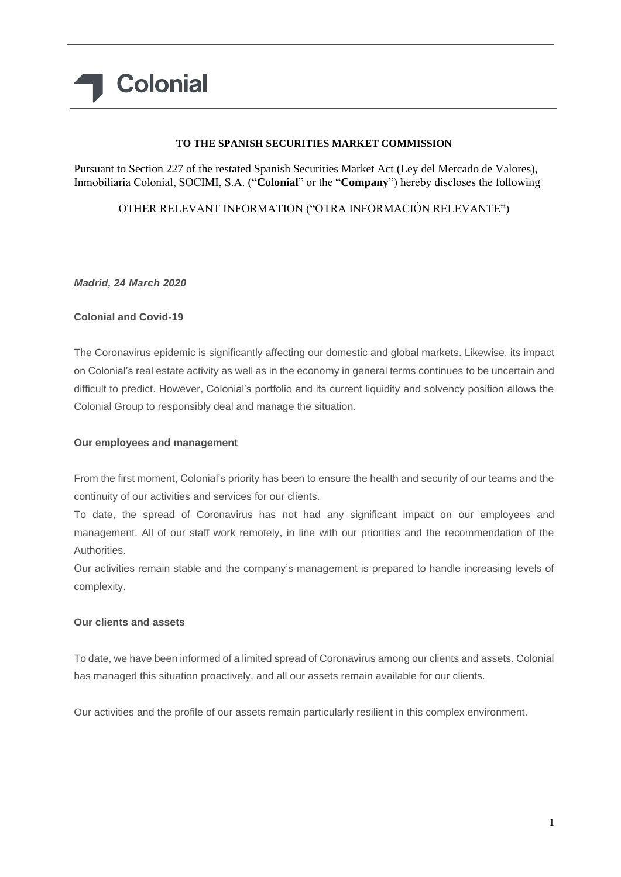# **Colonial**

## **TO THE SPANISH SECURITIES MARKET COMMISSION**

Pursuant to Section 227 of the restated Spanish Securities Market Act (Ley del Mercado de Valores), Inmobiliaria Colonial, SOCIMI, S.A. ("**Colonial**" or the "**Company**") hereby discloses the following

OTHER RELEVANT INFORMATION ("OTRA INFORMACIÓN RELEVANTE")

*Madrid, 24 March 2020*

### **Colonial and Covid-19**

The Coronavirus epidemic is significantly affecting our domestic and global markets. Likewise, its impact on Colonial's real estate activity as well as in the economy in general terms continues to be uncertain and difficult to predict. However, Colonial's portfolio and its current liquidity and solvency position allows the Colonial Group to responsibly deal and manage the situation.

### **Our employees and management**

From the first moment, Colonial's priority has been to ensure the health and security of our teams and the continuity of our activities and services for our clients.

To date, the spread of Coronavirus has not had any significant impact on our employees and management. All of our staff work remotely, in line with our priorities and the recommendation of the Authorities.

Our activities remain stable and the company's management is prepared to handle increasing levels of complexity.

### **Our clients and assets**

To date, we have been informed of a limited spread of Coronavirus among our clients and assets. Colonial has managed this situation proactively, and all our assets remain available for our clients.

Our activities and the profile of our assets remain particularly resilient in this complex environment.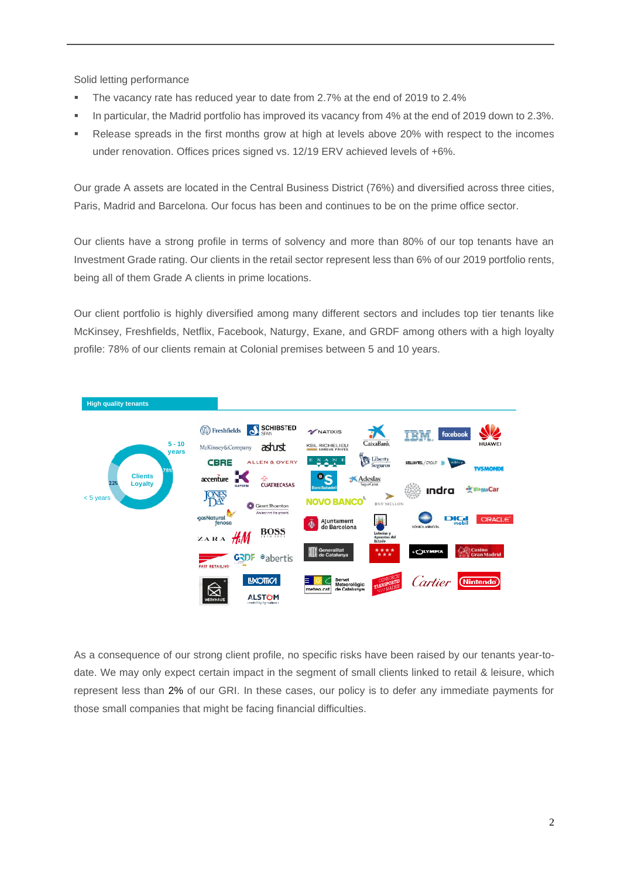Solid letting performance

- The vacancy rate has reduced year to date from 2.7% at the end of 2019 to 2.4%
- In particular, the Madrid portfolio has improved its vacancy from 4% at the end of 2019 down to 2.3%.
- Release spreads in the first months grow at high at levels above 20% with respect to the incomes under renovation. Offices prices signed vs. 12/19 ERV achieved levels of +6%.

Our grade A assets are located in the Central Business District (76%) and diversified across three cities, Paris, Madrid and Barcelona. Our focus has been and continues to be on the prime office sector.

Our clients have a strong profile in terms of solvency and more than 80% of our top tenants have an Investment Grade rating. Our clients in the retail sector represent less than 6% of our 2019 portfolio rents, being all of them Grade A clients in prime locations.

Our client portfolio is highly diversified among many different sectors and includes top tier tenants like McKinsey, Freshfields, Netflix, Facebook, Naturgy, Exane, and GRDF among others with a high loyalty profile: 78% of our clients remain at Colonial premises between 5 and 10 years.



As a consequence of our strong client profile, no specific risks have been raised by our tenants year-todate. We may only expect certain impact in the segment of small clients linked to retail & leisure, which represent less than 2% of our GRI. In these cases, our policy is to defer any immediate payments for those small companies that might be facing financial difficulties.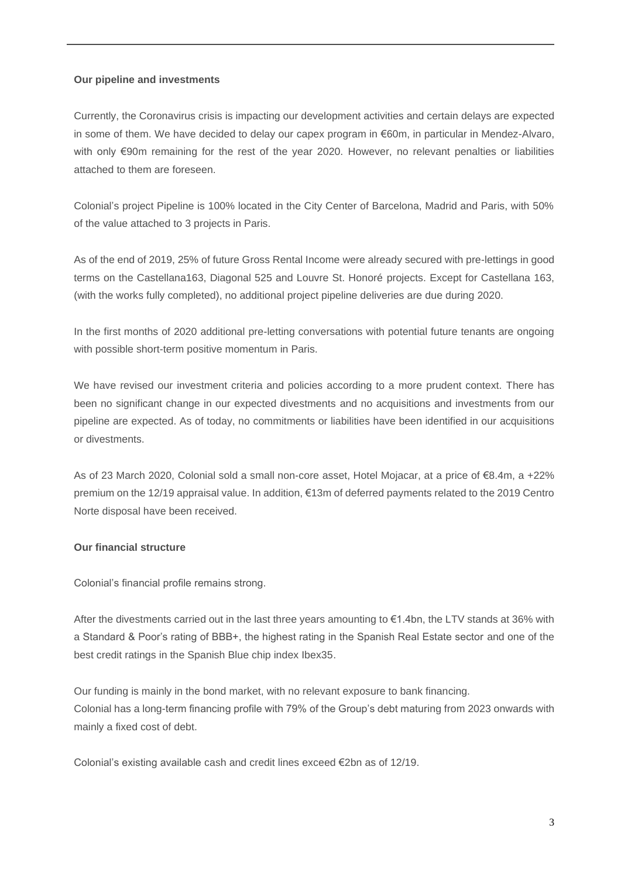#### **Our pipeline and investments**

Currently, the Coronavirus crisis is impacting our development activities and certain delays are expected in some of them. We have decided to delay our capex program in €60m, in particular in Mendez-Alvaro, with only €90m remaining for the rest of the year 2020. However, no relevant penalties or liabilities attached to them are foreseen.

Colonial's project Pipeline is 100% located in the City Center of Barcelona, Madrid and Paris, with 50% of the value attached to 3 projects in Paris.

As of the end of 2019, 25% of future Gross Rental Income were already secured with pre-lettings in good terms on the Castellana163, Diagonal 525 and Louvre St. Honoré projects. Except for Castellana 163, (with the works fully completed), no additional project pipeline deliveries are due during 2020.

In the first months of 2020 additional pre-letting conversations with potential future tenants are ongoing with possible short-term positive momentum in Paris.

We have revised our investment criteria and policies according to a more prudent context. There has been no significant change in our expected divestments and no acquisitions and investments from our pipeline are expected. As of today, no commitments or liabilities have been identified in our acquisitions or divestments.

As of 23 March 2020, Colonial sold a small non-core asset, Hotel Mojacar, at a price of €8.4m, a +22% premium on the 12/19 appraisal value. In addition, €13m of deferred payments related to the 2019 Centro Norte disposal have been received.

### **Our financial structure**

Colonial's financial profile remains strong.

After the divestments carried out in the last three years amounting to €1.4bn, the LTV stands at 36% with a Standard & Poor's rating of BBB+, the highest rating in the Spanish Real Estate sector and one of the best credit ratings in the Spanish Blue chip index Ibex35.

Our funding is mainly in the bond market, with no relevant exposure to bank financing. Colonial has a long-term financing profile with 79% of the Group's debt maturing from 2023 onwards with mainly a fixed cost of debt.

Colonial's existing available cash and credit lines exceed €2bn as of 12/19.